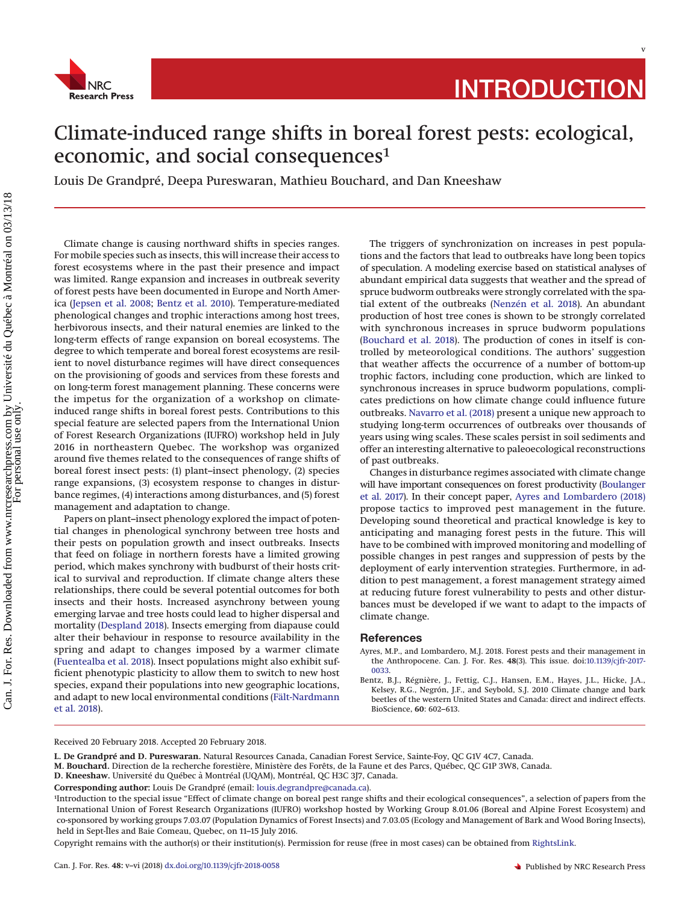

v

## Climate-induced range shifts in boreal forest pests: ecological, economic, and social consequences<sup>1</sup>

Louis De Grandpré, Deepa Pureswaran, Mathieu Bouchard, and Dan Kneeshaw

Climate change is causing northward shifts in species ranges. For mobile species such as insects, this will increase their access to forest ecosystems where in the past their presence and impact was limited. Range expansion and increases in outbreak severity of forest pests have been documented in Europe and North America [\(Jepsen et al. 2008;](#page-1-0) [Bentz et al. 2010\)](#page-0-0). Temperature-mediated phenological changes and trophic interactions among host trees, herbivorous insects, and their natural enemies are linked to the long-term effects of range expansion on boreal ecosystems. The degree to which temperate and boreal forest ecosystems are resilient to novel disturbance regimes will have direct consequences on the provisioning of goods and services from these forests and on long-term forest management planning. These concerns were the impetus for the organization of a workshop on climateinduced range shifts in boreal forest pests. Contributions to this special feature are selected papers from the International Union of Forest Research Organizations (IUFRO) workshop held in July 2016 in northeastern Quebec. The workshop was organized around five themes related to the consequences of range shifts of boreal forest insect pests: (1) plant–insect phenology, (2) species range expansions, (3) ecosystem response to changes in disturbance regimes, (4) interactions among disturbances, and (5) forest management and adaptation to change.

Papers on plant–insect phenology explored the impact of potential changes in phenological synchrony between tree hosts and their pests on population growth and insect outbreaks. Insects that feed on foliage in northern forests have a limited growing period, which makes synchrony with budburst of their hosts critical to survival and reproduction. If climate change alters these relationships, there could be several potential outcomes for both insects and their hosts. Increased asynchrony between young emerging larvae and tree hosts could lead to higher dispersal and mortality [\(Despland 2018\)](#page-1-1). Insects emerging from diapause could alter their behaviour in response to resource availability in the spring and adapt to changes imposed by a warmer climate [\(Fuentealba et al. 2018\)](#page-1-2). Insect populations might also exhibit sufficient phenotypic plasticity to allow them to switch to new host species, expand their populations into new geographic locations, and adapt to new local environmental conditions [\(Fält-Nardmann](#page-1-3) [et al. 2018\)](#page-1-3).

The triggers of synchronization on increases in pest populations and the factors that lead to outbreaks have long been topics of speculation. A modeling exercise based on statistical analyses of abundant empirical data suggests that weather and the spread of spruce budworm outbreaks were strongly correlated with the spatial extent of the outbreaks [\(Nenzén et al. 2018\)](#page-1-4). An abundant production of host tree cones is shown to be strongly correlated with synchronous increases in spruce budworm populations [\(Bouchard et al. 2018\)](#page-1-5). The production of cones in itself is controlled by meteorological conditions. The authors' suggestion that weather affects the occurrence of a number of bottom-up trophic factors, including cone production, which are linked to synchronous increases in spruce budworm populations, complicates predictions on how climate change could influence future outbreaks. [Navarro et al. \(2018\)](#page-1-6) present a unique new approach to studying long-term occurrences of outbreaks over thousands of years using wing scales. These scales persist in soil sediments and offer an interesting alternative to paleoecological reconstructions of past outbreaks.

Changes in disturbance regimes associated with climate change will have important consequences on forest productivity [\(Boulanger](#page-1-7) [et al. 2017\)](#page-1-7). In their concept paper, [Ayres and Lombardero \(2018\)](#page-0-1) propose tactics to improved pest management in the future. Developing sound theoretical and practical knowledge is key to anticipating and managing forest pests in the future. This will have to be combined with improved monitoring and modelling of possible changes in pest ranges and suppression of pests by the deployment of early intervention strategies. Furthermore, in addition to pest management, a forest management strategy aimed at reducing future forest vulnerability to pests and other disturbances must be developed if we want to adapt to the impacts of climate change.

## <span id="page-0-1"></span>**References**

- Ayres, M.P., and Lombardero, M.J. 2018. Forest pests and their management in the Anthropocene. Can. J. For. Res. **48**(3). This issue. doi[:10.1139/cjfr-2017-](http://dx.doi.org/10.1139/cjfr-2017-0033) [0033.](http://dx.doi.org/10.1139/cjfr-2017-0033)
- <span id="page-0-0"></span>Bentz, B.J., Régnière, J., Fettig, C.J., Hansen, E.M., Hayes, J.L., Hicke, J.A., Kelsey, R.G., Negrón, J.F., and Seybold, S.J. 2010 Climate change and bark beetles of the western United States and Canada: direct and indirect effects. BioScience, **60**: 602–613.

Received 20 February 2018. Accepted 20 February 2018.

**M. Bouchard.** Direction de la recherche forestière, Ministère des Forêts, de la Faune et des Parcs, Québec, QC G1P 3W8, Canada.

Copyright remains with the author(s) or their institution(s). Permission for reuse (free in most cases) can be obtained from [RightsLink.](http://www.nrcresearchpress.com/page/authors/services/reprints)

**L. De Grandpré and D. Pureswaran.** Natural Resources Canada, Canadian Forest Service, Sainte-Foy, QC G1V 4C7, Canada.

**D. Kneeshaw.** Université du Québec a` Montréal (UQAM), Montréal, QC H3C 3J7, Canada.

**Corresponding author:** Louis De Grandpré (email: [louis.degrandpre@canada.ca\)](mailto:louis.degrandpre@canada.ca).

<sup>1</sup> Introduction to the special issue "Effect of climate change on boreal pest range shifts and their ecological consequences", a selection of papers from the International Union of Forest Research Organizations (IUFRO) workshop hosted by Working Group 8.01.06 (Boreal and Alpine Forest Ecosystem) and co-sponsored by working groups 7.03.07 (Population Dynamics of Forest Insects) and 7.03.05 (Ecology and Management of Bark and Wood Boring Insects), held in Sept-Îles and Baie Comeau, Quebec, on 11–15 July 2016.